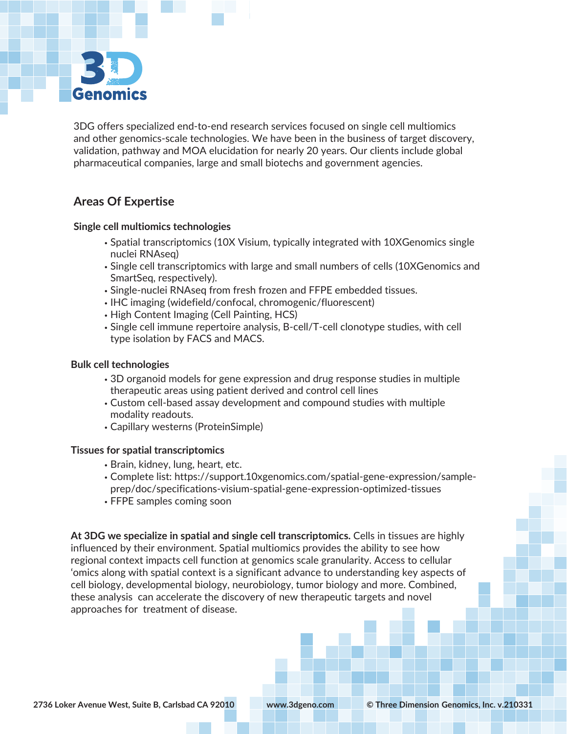

3DG offers specialized end-to-end research services focused on single cell multiomics and other genomics-scale technologies. We have been in the business of target discovery, validation, pathway and MOA elucidation for nearly 20 years. Our clients include global pharmaceutical companies, large and small biotechs and government agencies.

# **Areas Of Expertise**

### **Single cell multiomics technologies**

- Spatial transcriptomics (10X Visium, typically integrated with 10XGenomics single nuclei RNAseq)
- Single cell transcriptomics with large and small numbers of cells (10XGenomics and SmartSeq, respectively).
- Single-nuclei RNAseq from fresh frozen and FFPE embedded tissues.
- IHC imaging (widefield/confocal, chromogenic/fluorescent)
- High Content Imaging (Cell Painting, HCS)
- Single cell immune repertoire analysis, B-cell/T-cell clonotype studies, with cell type isolation by FACS and MACS.

#### **Bulk cell technologies**

- 3D organoid models for gene expression and drug response studies in multiple therapeutic areas using patient derived and control cell lines
- Custom cell-based assay development and compound studies with multiple modality readouts.
- Capillary westerns (ProteinSimple)

## **Tissues for spatial transcriptomics**

- Brain, kidney, lung, heart, etc.
- Complete list: https://support.10xgenomics.com/spatial-gene-expression/sampleprep/doc/specifications-visium-spatial-gene-expression-optimized-tissues
- FFPE samples coming soon

**At 3DG we specialize in spatial and single cell transcriptomics.** Cells in tissues are highly influenced by their environment. Spatial multiomics provides the ability to see how regional context impacts cell function at genomics scale granularity. Access to cellular 'omics along with spatial context is a significant advance to understanding key aspects of cell biology, developmental biology, neurobiology, tumor biology and more. Combined, these analysis can accelerate the discovery of new therapeutic targets and novel approaches for treatment of disease.

www.3dgeno.com